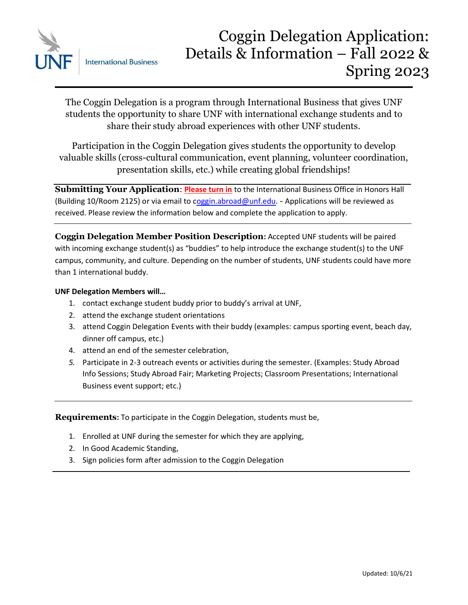

 $\overline{a}$ The Coggin Delegation is a program through International Business that gives UNF students the opportunity to share UNF with international exchange students and to share their study abroad experiences with other UNF students.

Participation in the Coggin Delegation gives students the opportunity to develop valuable skills (cross-cultural communication, event planning, volunteer coordination, presentation skills, etc.) while creating global friendships!

**Submitting Your Application**: **Please turn in** to the International Business Office in Honors Hall (Building 10/Room 2125) or via email to [coggin.abroad@unf.edu.](mailto:Coggin.Abroad@unf.edu) - Applications will be reviewed as received. Please review the information below and complete the application to apply.

**Coggin Delegation Member Position Description:** Accepted UNF students will be paired with incoming exchange student(s) as "buddies" to help introduce the exchange student(s) to the UNF campus, community, and culture. Depending on the number of students, UNF students could have more than 1 international buddy.

# **UNF Delegation Members will…**

- 1. contact exchange student buddy prior to buddy's arrival at UNF,
- 2. attend the exchange student orientations
- 3. attend Coggin Delegation Events with their buddy (examples: campus sporting event, beach day, dinner off campus, etc.)
- 4. attend an end of the semester celebration,
- *5.* Participate in 2-3 outreach events or activities during the semester. (Examples: Study Abroad Info Sessions; Study Abroad Fair; Marketing Projects; Classroom Presentations; International Business event support; etc.)

**Requirements:** To participate in the Coggin Delegation, students must be,

- 1. Enrolled at UNF during the semester for which they are applying,
- 2. In Good Academic Standing,
- 3. Sign policies form after admission to the Coggin Delegation